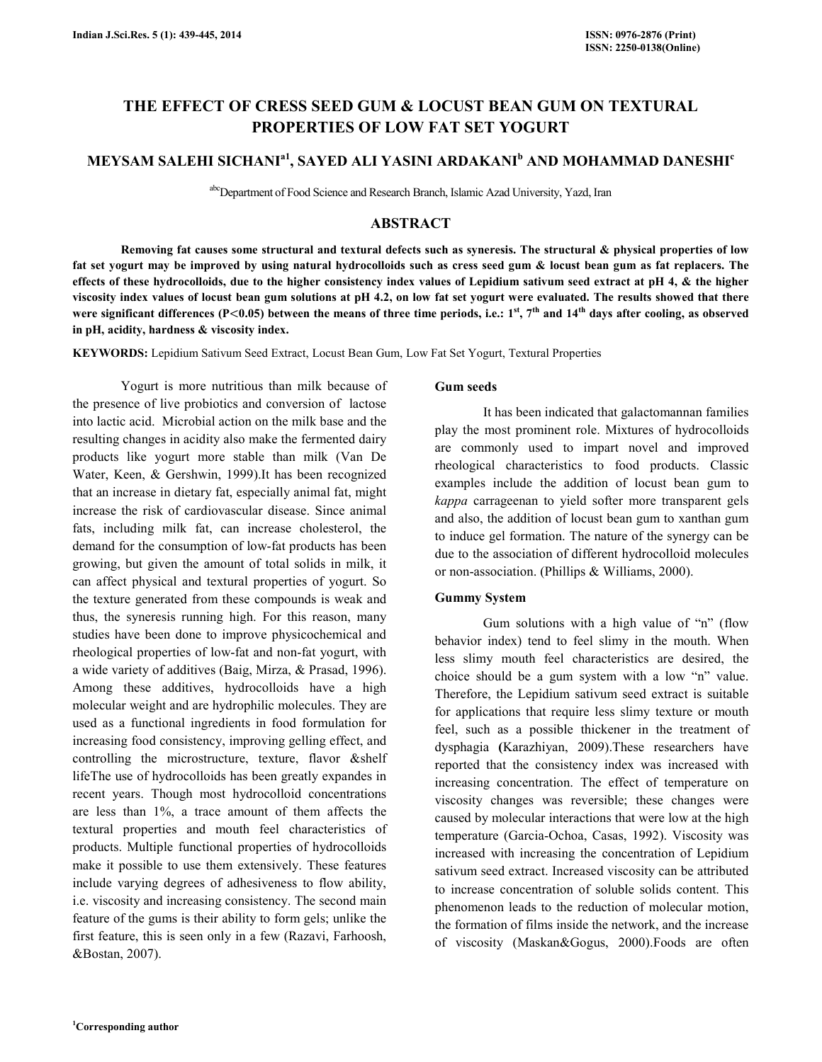# THE EFFECT OF CRESS SEED GUM & LOCUST BEAN GUM ON TEXTURAL PROPERTIES OF LOW FAT SET YOGURT

## MEYSAM SALEHI SICHANI $^{\rm a1}$ , SAYED ALI YASINI ARDAKANI $^{\rm b}$  AND MOHAMMAD DANESHI $^{\rm c}$

abcDepartment of Food Science and Research Branch, Islamic Azad University, Yazd, Iran

## ABSTRACT

Removing fat causes some structural and textural defects such as syneresis. The structural  $\&$  physical properties of low fat set yogurt may be improved by using natural hydrocolloids such as cress seed gum & locust bean gum as fat replacers. The effects of these hydrocolloids, due to the higher consistency index values of Lepidium sativum seed extract at pH 4, & the higher viscosity index values of locust bean gum solutions at pH 4.2, on low fat set yogurt were evaluated. The results showed that there were significant differences (P<0.05) between the means of three time periods, i.e.:  $1^{st}$ ,  $7^{th}$  and  $14^{th}$  days after cooling, as observed in pH, acidity, hardness & viscosity index.

KEYWORDS: Lepidium Sativum Seed Extract, Locust Bean Gum, Low Fat Set Yogurt, Textural Properties

 Yogurt is more nutritious than milk because of the presence of live probiotics and conversion of lactose into lactic acid. Microbial action on the milk base and the resulting changes in acidity also make the fermented dairy products like yogurt more stable than milk (Van De Water, Keen, & Gershwin, 1999).It has been recognized that an increase in dietary fat, especially animal fat, might increase the risk of cardiovascular disease. Since animal fats, including milk fat, can increase cholesterol, the demand for the consumption of low-fat products has been growing, but given the amount of total solids in milk, it can affect physical and textural properties of yogurt. So the texture generated from these compounds is weak and thus, the syneresis running high. For this reason, many studies have been done to improve physicochemical and rheological properties of low-fat and non-fat yogurt, with a wide variety of additives (Baig, Mirza, & Prasad, 1996). Among these additives, hydrocolloids have a high molecular weight and are hydrophilic molecules. They are used as a functional ingredients in food formulation for increasing food consistency, improving gelling effect, and controlling the microstructure, texture, flavor &shelf lifeThe use of hydrocolloids has been greatly expandes in recent years. Though most hydrocolloid concentrations are less than 1%, a trace amount of them affects the textural properties and mouth feel characteristics of products. Multiple functional properties of hydrocolloids make it possible to use them extensively. These features include varying degrees of adhesiveness to flow ability, i.e. viscosity and increasing consistency. The second main feature of the gums is their ability to form gels; unlike the first feature, this is seen only in a few (Razavi, Farhoosh, &Bostan, 2007).

#### Gum seeds

 It has been indicated that galactomannan families play the most prominent role. Mixtures of hydrocolloids are commonly used to impart novel and improved rheological characteristics to food products. Classic examples include the addition of locust bean gum to kappa carrageenan to yield softer more transparent gels and also, the addition of locust bean gum to xanthan gum to induce gel formation. The nature of the synergy can be due to the association of different hydrocolloid molecules or non-association. (Phillips & Williams, 2000).

#### Gummy System

 Gum solutions with a high value of "n" (flow behavior index) tend to feel slimy in the mouth. When less slimy mouth feel characteristics are desired, the choice should be a gum system with a low "n" value. Therefore, the Lepidium sativum seed extract is suitable for applications that require less slimy texture or mouth feel, such as a possible thickener in the treatment of dysphagia (Karazhiyan, 2009).These researchers have reported that the consistency index was increased with increasing concentration. The effect of temperature on viscosity changes was reversible; these changes were caused by molecular interactions that were low at the high temperature (Garcia-Ochoa, Casas, 1992). Viscosity was increased with increasing the concentration of Lepidium sativum seed extract. Increased viscosity can be attributed to increase concentration of soluble solids content. This phenomenon leads to the reduction of molecular motion, the formation of films inside the network, and the increase of viscosity (Maskan&Gogus, 2000).Foods are often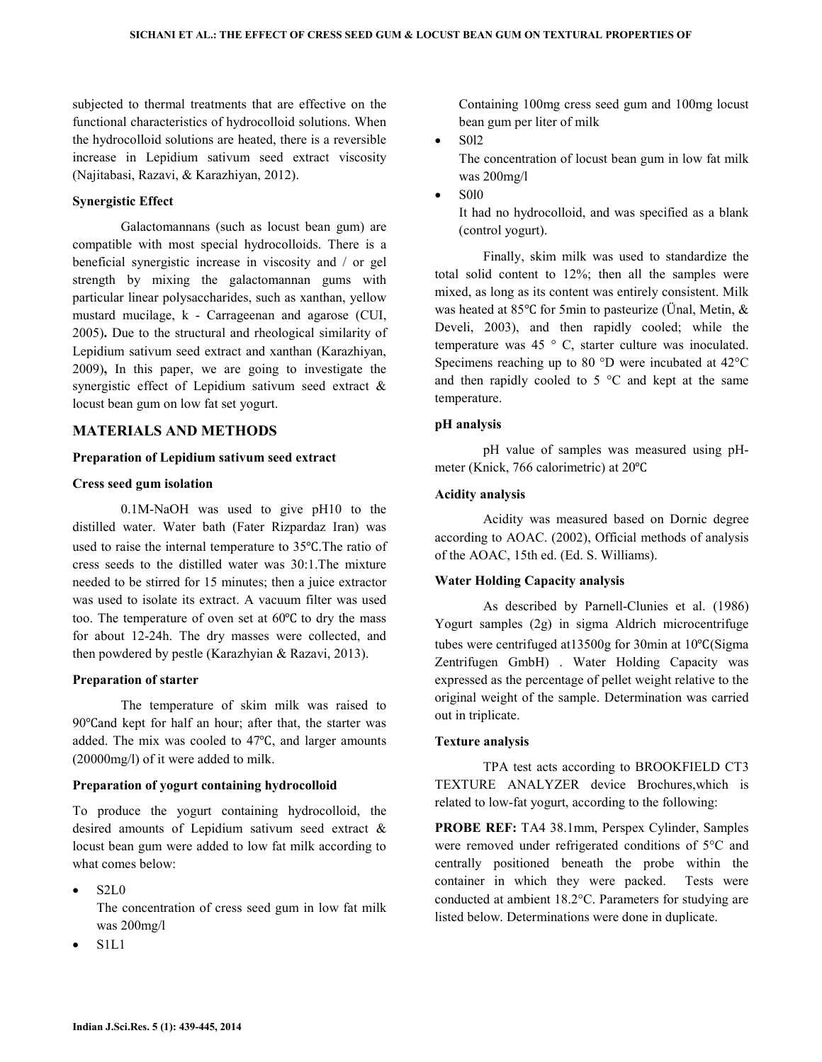subjected to thermal treatments that are effective on the functional characteristics of hydrocolloid solutions. When the hydrocolloid solutions are heated, there is a reversible increase in Lepidium sativum seed extract viscosity (Najitabasi, Razavi, & Karazhiyan, 2012).

#### Synergistic Effect

 Galactomannans (such as locust bean gum) are compatible with most special hydrocolloids. There is a beneficial synergistic increase in viscosity and / or gel strength by mixing the galactomannan gums with particular linear polysaccharides, such as xanthan, yellow mustard mucilage, k - Carrageenan and agarose (CUI, 2005). Due to the structural and rheological similarity of Lepidium sativum seed extract and xanthan (Karazhiyan, 2009), In this paper, we are going to investigate the synergistic effect of Lepidium sativum seed extract & locust bean gum on low fat set yogurt.

## MATERIALS AND METHODS

### Preparation of Lepidium sativum seed extract

### Cress seed gum isolation

 0.1M-NaOH was used to give pH10 to the distilled water. Water bath (Fater Rizpardaz Iran) was used to raise the internal temperature to 35℃.The ratio of cress seeds to the distilled water was 30:1.The mixture needed to be stirred for 15 minutes; then a juice extractor was used to isolate its extract. A vacuum filter was used too. The temperature of oven set at 60℃ to dry the mass for about 12-24h. The dry masses were collected, and then powdered by pestle (Karazhyian & Razavi, 2013).

#### Preparation of starter

 The temperature of skim milk was raised to 90℃and kept for half an hour; after that, the starter was added. The mix was cooled to 47℃, and larger amounts (20000mg/l) of it were added to milk.

#### Preparation of yogurt containing hydrocolloid

To produce the yogurt containing hydrocolloid, the desired amounts of Lepidium sativum seed extract & locust bean gum were added to low fat milk according to what comes below:

• S2L0

The concentration of cress seed gum in low fat milk was 200mg/l

• S1L1

Containing 100mg cress seed gum and 100mg locust bean gum per liter of milk

 $\bullet$  S012

The concentration of locust bean gum in low fat milk was 200mg/l

• S0l0

It had no hydrocolloid, and was specified as a blank (control yogurt).

 Finally, skim milk was used to standardize the total solid content to 12%; then all the samples were mixed, as long as its content was entirely consistent. Milk was heated at 85℃ for 5min to pasteurize (Ünal, Metin, & Develi, 2003), and then rapidly cooled; while the temperature was 45 ° C, starter culture was inoculated. Specimens reaching up to 80 °D were incubated at 42°C and then rapidly cooled to  $5^{\circ}$ C and kept at the same temperature.

### pH analysis

 pH value of samples was measured using pHmeter (Knick, 766 calorimetric) at 20℃

## Acidity analysis

 Acidity was measured based on Dornic degree according to AOAC. (2002), Official methods of analysis of the AOAC, 15th ed. (Ed. S. Williams).

## Water Holding Capacity analysis

 As described by Parnell-Clunies et al. (1986) Yogurt samples (2g) in sigma Aldrich microcentrifuge tubes were centrifuged at13500g for 30min at 10℃(Sigma Zentrifugen GmbH) . Water Holding Capacity was expressed as the percentage of pellet weight relative to the original weight of the sample. Determination was carried out in triplicate.

#### Texture analysis

 TPA test acts according to BROOKFIELD CT3 TEXTURE ANALYZER device Brochures,which is related to low-fat yogurt, according to the following:

PROBE REF: TA4 38.1mm, Perspex Cylinder, Samples were removed under refrigerated conditions of 5°C and centrally positioned beneath the probe within the container in which they were packed. Tests were conducted at ambient 18.2°C. Parameters for studying are listed below. Determinations were done in duplicate.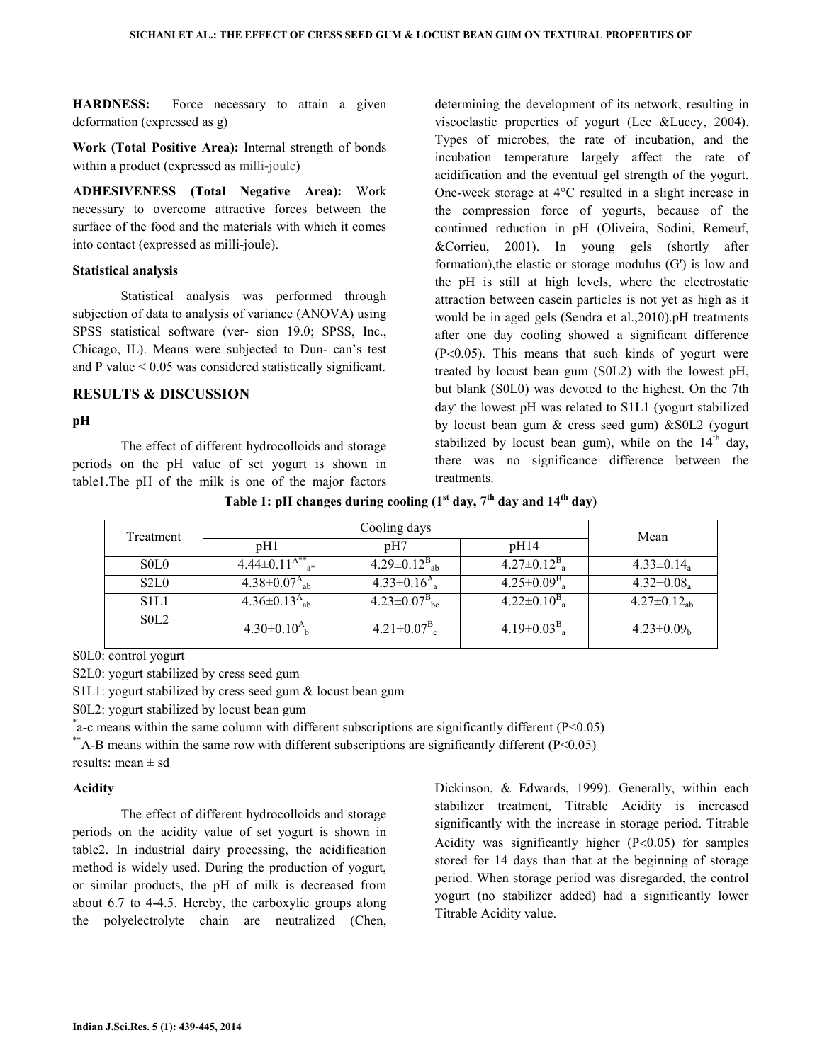HARDNESS: Force necessary to attain a given deformation (expressed as g)

Work (Total Positive Area): Internal strength of bonds within a product (expressed as milli-joule)

ADHESIVENESS (Total Negative Area): Work necessary to overcome attractive forces between the surface of the food and the materials with which it comes into contact (expressed as milli-joule).

#### Statistical analysis

 Statistical analysis was performed through subjection of data to analysis of variance (ANOVA) using SPSS statistical software (ver- sion 19.0; SPSS, Inc., Chicago, IL). Means were subjected to Dun- can's test and P value < 0.05 was considered statistically significant.

#### RESULTS & DISCUSSION

#### pH

 The effect of different hydrocolloids and storage periods on the pH value of set yogurt is shown in table1.The pH of the milk is one of the major factors determining the development of its network, resulting in viscoelastic properties of yogurt (Lee &Lucey, 2004). Types of microbes, the rate of incubation, and the incubation temperature largely affect the rate of acidification and the eventual gel strength of the yogurt. One-week storage at 4°C resulted in a slight increase in the compression force of yogurts, because of the continued reduction in pH (Oliveira, Sodini, Remeuf, &Corrieu, 2001). In young gels (shortly after formation),the elastic or storage modulus (G') is low and the pH is still at high levels, where the electrostatic attraction between casein particles is not yet as high as it would be in aged gels (Sendra et al.,2010).pH treatments after one day cooling showed a significant difference (P<0.05). This means that such kinds of yogurt were treated by locust bean gum (S0L2) with the lowest pH, but blank (S0L0) was devoted to the highest. On the 7th day the lowest pH was related to S1L1 (yogurt stabilized by locust bean gum & cress seed gum) &S0L2 (yogurt stabilized by locust bean gum), while on the  $14<sup>th</sup>$  day, there was no significance difference between the treatments.

Table 1: pH changes during cooling  $(1<sup>st</sup> \, \text{day}, 7<sup>th</sup> \, \text{day} \, \text{and} \, 14<sup>th</sup> \, \text{day})$ 

| Treatment                     |                                      | Mean                                     |                                         |                              |
|-------------------------------|--------------------------------------|------------------------------------------|-----------------------------------------|------------------------------|
|                               | pH1                                  | pH7                                      | pH14                                    |                              |
| SOL <sub>0</sub>              | $4.44\pm0.11^{A^{**}}$ <sub>a*</sub> | 4.29 $\pm$ 0.12 $^{\rm B}$ <sub>ab</sub> | $4.27 \pm 0.12^{\rm B}$ <sub>a</sub>    | $4.33 \pm 0.14$ <sub>a</sub> |
| S <sub>2</sub> L <sub>0</sub> | 4.38 $\pm$ 0.07 $^{A}$ <sub>ab</sub> | $4.33 \pm 0.16^{A}$ <sub>a</sub>         | $4.25 \pm 0.09^{\rm B}$ <sub>a</sub>    | $4.32 \pm 0.08$ <sub>a</sub> |
| S <sub>1</sub> L <sub>1</sub> | $4.36 \pm 0.13^{A}_{ab}$             | $4.23 \pm 0.07^{\rm B}$ <sub>bc</sub>    | $4.22 \pm 0.10^B$ <sub>a</sub>          | $4.27 \pm 0.12_{ab}$         |
| SOL <sub>2</sub>              | $4.30\pm0.10^{A}$ <sub>h</sub>       | $4.21 \pm 0.07^{\rm B}$ <sub>c</sub>     | 4.19 $\pm$ 0.03 $^{\rm B}$ <sub>a</sub> | $4.23 \pm 0.09_h$            |

S0L0: control yogurt

S2L0: yogurt stabilized by cress seed gum

S1L1: yogurt stabilized by cress seed gum & locust bean gum

S0L2: yogurt stabilized by locust bean gum

 $*$  a-c means within the same column with different subscriptions are significantly different (P<0.05)

\*\*A-B means within the same row with different subscriptions are significantly different (P<0.05)

results: mean  $\pm$  sd

## Acidity

 The effect of different hydrocolloids and storage periods on the acidity value of set yogurt is shown in table2. In industrial dairy processing, the acidification method is widely used. During the production of yogurt, or similar products, the pH of milk is decreased from about 6.7 to 4-4.5. Hereby, the carboxylic groups along the polyelectrolyte chain are neutralized (Chen, Dickinson, & Edwards, 1999). Generally, within each stabilizer treatment, Titrable Acidity is increased significantly with the increase in storage period. Titrable Acidity was significantly higher  $(P<0.05)$  for samples stored for 14 days than that at the beginning of storage period. When storage period was disregarded, the control yogurt (no stabilizer added) had a significantly lower Titrable Acidity value.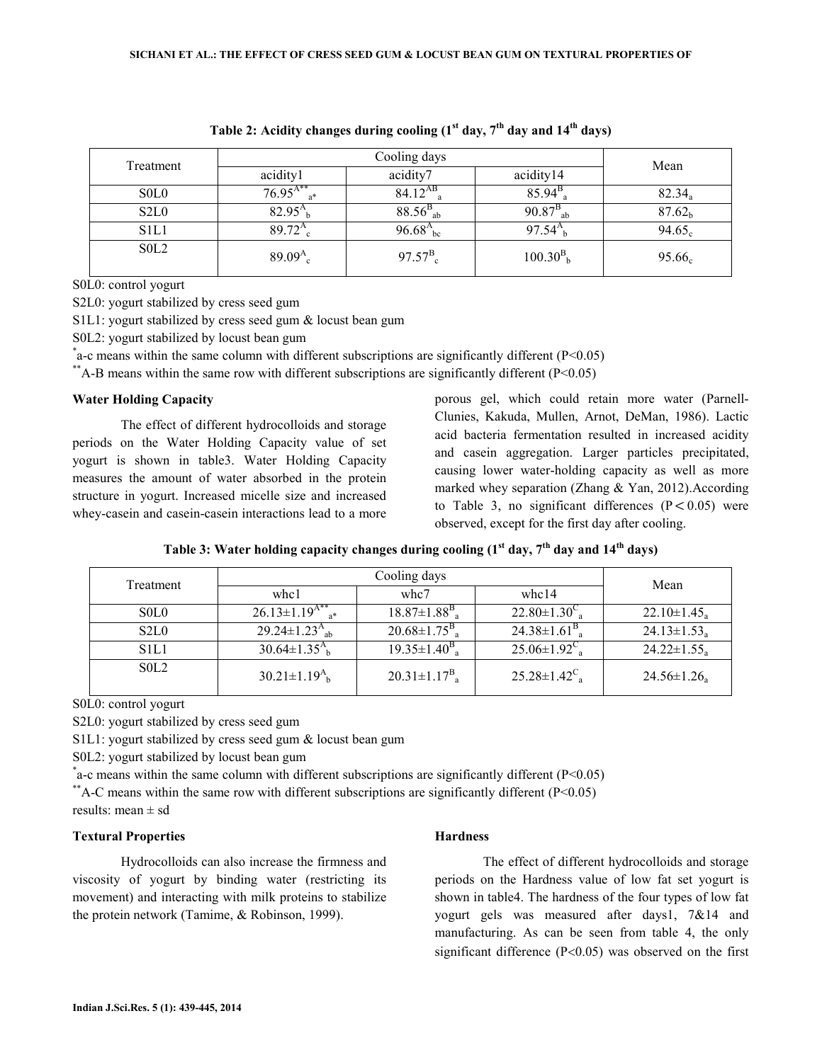| Treatment                     |                          | Mean             |                          |                    |
|-------------------------------|--------------------------|------------------|--------------------------|--------------------|
|                               | acidity1                 | acidity7         | acidity14                |                    |
| S <sub>0</sub> L <sub>0</sub> | $76.95^{A**}$<br>$a^*$   | $84.12^{AB}$     | $85.94^{B}$              | $82.34_a$          |
| S <sub>2</sub> L <sub>0</sub> | $82.95^{A}$ <sub>b</sub> | $88.56^{B}_{ab}$ | $90.87^{B}_{ab}$         | 87.62 <sub>b</sub> |
| S <sub>1</sub> L <sub>1</sub> | $89.72^{A}$ <sub>c</sub> | $96.68^{A}_{bc}$ | $97.54^{A}$ <sub>b</sub> | 94.65 <sub>c</sub> |
| S <sub>0</sub> L <sub>2</sub> | $89.09A_{c}$             | $97.57^{B}_{c}$  | $100.30_{b}^{B}$         | $95.66_c$          |

Table 2: Acidity changes during cooling  $(1<sup>st</sup> \, \text{day}, 7<sup>th</sup> \, \text{day} \, \text{and} \, 14<sup>th</sup> \, \text{day})$ 

S0L0: control yogurt

S2L0: yogurt stabilized by cress seed gum

S1L1: yogurt stabilized by cress seed gum & locust bean gum

S0L2: yogurt stabilized by locust bean gum

 $*$  a-c means within the same column with different subscriptions are significantly different (P<0.05)

\*\*A-B means within the same row with different subscriptions are significantly different  $(P<0.05)$ 

#### Water Holding Capacity

 The effect of different hydrocolloids and storage periods on the Water Holding Capacity value of set yogurt is shown in table3. Water Holding Capacity measures the amount of water absorbed in the protein structure in yogurt. Increased micelle size and increased whey-casein and casein-casein interactions lead to a more

porous gel, which could retain more water (Parnell-Clunies, Kakuda, Mullen, Arnot, DeMan, 1986). Lactic acid bacteria fermentation resulted in increased acidity and casein aggregation. Larger particles precipitated, causing lower water-holding capacity as well as more marked whey separation (Zhang & Yan, 2012).According to Table 3, no significant differences  $(P < 0.05)$  were observed, except for the first day after cooling.

|  | Table 3: Water holding capacity changes during cooling (1 <sup>st</sup> day, 7 <sup>th</sup> day and 14 <sup>th</sup> days) |  |  |  |  |  |  |  |  |  |
|--|-----------------------------------------------------------------------------------------------------------------------------|--|--|--|--|--|--|--|--|--|
|--|-----------------------------------------------------------------------------------------------------------------------------|--|--|--|--|--|--|--|--|--|

| Treatment   |                                         | Mean                                  |                          |                               |
|-------------|-----------------------------------------|---------------------------------------|--------------------------|-------------------------------|
|             | whc1                                    | whc7                                  | whc14                    |                               |
| SOLO        | $26.13 \pm 1.19^{A^{**}}$ <sub>a*</sub> | $18.87 \pm 1.88^{\rm B}$ <sub>a</sub> | $22.80 \pm 1.30^{\circ}$ | $22.10 \pm 1.45$ <sub>a</sub> |
| S2L0        | 29.24 $\pm$ 1.23 $^{A}$ <sub>ab</sub>   | $20.68 \pm 1.75^{\rm B}$ <sub>a</sub> | $24.38\pm1.61B_{a}$      | $24.13 \pm 1.53_a$            |
| <b>S1L1</b> | $30.64 \pm 1.35^{A}$ <sub>b</sub>       | $19.35 \pm 1.40^{\rm B}$              | $25.06 \pm 1.92^{\circ}$ | $24.22 \pm 1.55$              |
| SOL2        | $30.21 \pm 1.19^{A}$ <sub>h</sub>       | $20.31 \pm 1.17^{\rm B}$ <sub>a</sub> | $25.28 \pm 1.42^{\circ}$ | $24.56 \pm 1.26$ <sub>a</sub> |

S0L0: control yogurt

S2L0: yogurt stabilized by cress seed gum

S1L1: yogurt stabilized by cress seed gum & locust bean gum

S0L2: yogurt stabilized by locust bean gum

 $*$  a-c means within the same column with different subscriptions are significantly different (P<0.05)

\*\*A-C means within the same row with different subscriptions are significantly different  $(P<0.05)$ results: mean ± sd

#### Textural Properties

 Hydrocolloids can also increase the firmness and viscosity of yogurt by binding water (restricting its movement) and interacting with milk proteins to stabilize the protein network (Tamime, & Robinson, 1999).

#### **Hardness**

 The effect of different hydrocolloids and storage periods on the Hardness value of low fat set yogurt is shown in table4. The hardness of the four types of low fat yogurt gels was measured after days1, 7&14 and manufacturing. As can be seen from table 4, the only significant difference (P<0.05) was observed on the first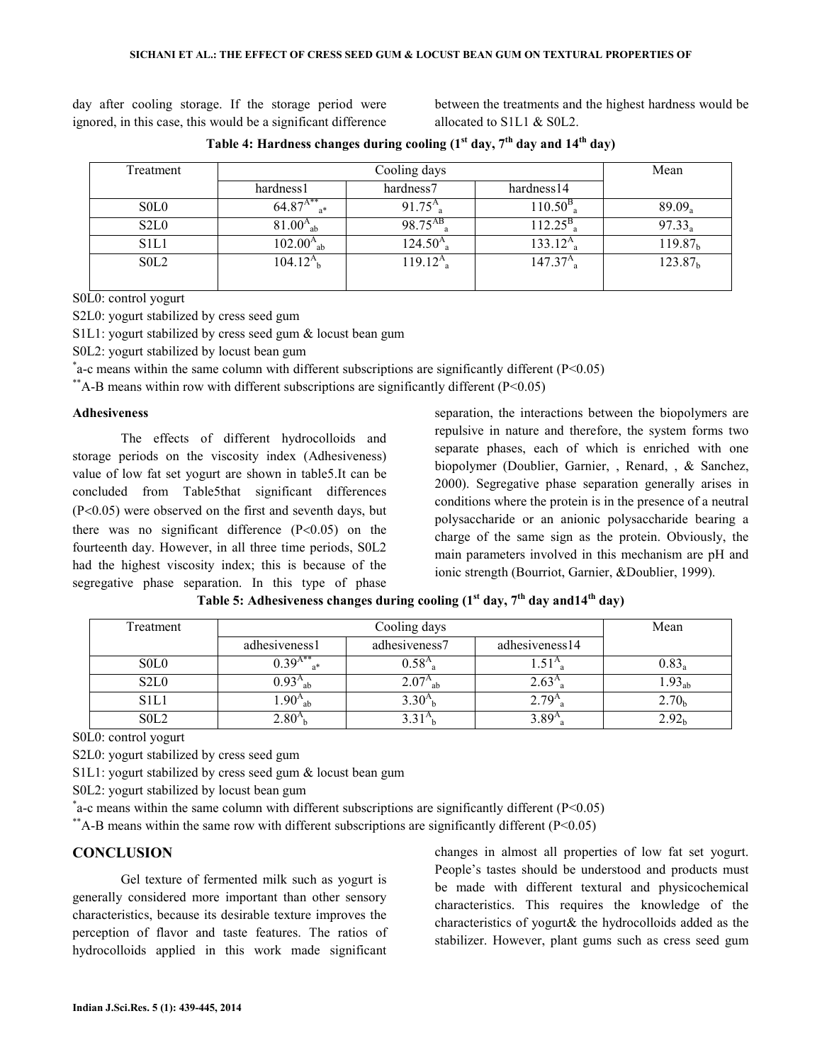day after cooling storage. If the storage period were ignored, in this case, this would be a significant difference between the treatments and the highest hardness would be allocated to S1L1 & S0L2.

| Treatment                     |                           | Mean          |                           |                     |
|-------------------------------|---------------------------|---------------|---------------------------|---------------------|
|                               | hardness1                 | hardness7     | hardness14                |                     |
| S <sub>0</sub> L <sub>0</sub> | $64.87^{A**}$             | $91.75A_{a}$  | $110.50^{\rm B}$          | $89.09_a$           |
| S <sub>2</sub> L <sub>0</sub> | $81.00^{A}_{ab}$          | $98.75^{AB}$  | $112.25^{\rm B}$          | $97.33_a$           |
| S <sub>1</sub> L <sub>1</sub> | $102.00A_{ab}$            | $124.50A_{a}$ | $133.12^{A}$ <sub>a</sub> | 119.87 <sub>h</sub> |
| S <sub>0</sub> L <sub>2</sub> | $104.12^{A}$ <sub>b</sub> | $119.12A_{a}$ | $147.37A_{\rm a}$         | 123.87 <sub>b</sub> |
|                               |                           |               |                           |                     |

Table 4: Hardness changes during cooling  $(1<sup>st</sup> \, \text{day}, 7<sup>th</sup> \, \text{day} \, \text{and} \, 14<sup>th</sup> \, \text{day})$ 

S0L0: control yogurt

S2L0: yogurt stabilized by cress seed gum

S1L1: yogurt stabilized by cress seed gum & locust bean gum

S0L2: yogurt stabilized by locust bean gum

 $*$  a-c means within the same column with different subscriptions are significantly different (P<0.05)

\*\*A-B means within row with different subscriptions are significantly different ( $P \le 0.05$ )

#### Adhesiveness

 The effects of different hydrocolloids and storage periods on the viscosity index (Adhesiveness) value of low fat set yogurt are shown in table5.It can be concluded from Table5that significant differences (P<0.05) were observed on the first and seventh days, but there was no significant difference  $(P<0.05)$  on the fourteenth day. However, in all three time periods, S0L2 had the highest viscosity index; this is because of the segregative phase separation. In this type of phase separation, the interactions between the biopolymers are repulsive in nature and therefore, the system forms two separate phases, each of which is enriched with one biopolymer (Doublier, Garnier, , Renard, , & Sanchez, 2000). Segregative phase separation generally arises in conditions where the protein is in the presence of a neutral polysaccharide or an anionic polysaccharide bearing a charge of the same sign as the protein. Obviously, the main parameters involved in this mechanism are pH and ionic strength (Bourriot, Garnier, &Doublier, 1999).

| Treatment                     |                | Mean               |                |                   |
|-------------------------------|----------------|--------------------|----------------|-------------------|
|                               | adhesiveness1  | adhesiveness7      | adhesiveness14 |                   |
| S <sub>0</sub> L <sub>0</sub> | $0.39^{A**}$   | $0.58^{A}_{a}$     |                | $0.83_a$          |
| S <sub>2</sub> L <sub>0</sub> | $0.93^{\rm A}$ | $2.07^{A}$<br>- ah | $2.63^{A}$     | $.93_{ab}$        |
| S <sub>1</sub> L <sub>1</sub> | $1.90A_{ab}$   | $3.30^{A}$         | 2.79           | 2.70 <sub>b</sub> |
| S <sub>0</sub> L <sub>2</sub> | 2.80           |                    | 3.89           | 2.92 <sub>b</sub> |

| Table 5: Adhesiveness changes during cooling (1 <sup>st</sup> day, 7 <sup>th</sup> day and 14 <sup>th</sup> day) |  |  |  |  |  |  |
|------------------------------------------------------------------------------------------------------------------|--|--|--|--|--|--|
|------------------------------------------------------------------------------------------------------------------|--|--|--|--|--|--|

S0L0: control yogurt

S2L0: yogurt stabilized by cress seed gum

S1L1: yogurt stabilized by cress seed gum & locust bean gum

S0L2: yogurt stabilized by locust bean gum

 $*$  a-c means within the same column with different subscriptions are significantly different (P<0.05)

\*\*A-B means within the same row with different subscriptions are significantly different  $(P<0.05)$ 

#### **CONCLUSION**

 Gel texture of fermented milk such as yogurt is generally considered more important than other sensory characteristics, because its desirable texture improves the perception of flavor and taste features. The ratios of hydrocolloids applied in this work made significant

changes in almost all properties of low fat set yogurt. People's tastes should be understood and products must be made with different textural and physicochemical characteristics. This requires the knowledge of the characteristics of yogurt& the hydrocolloids added as the stabilizer. However, plant gums such as cress seed gum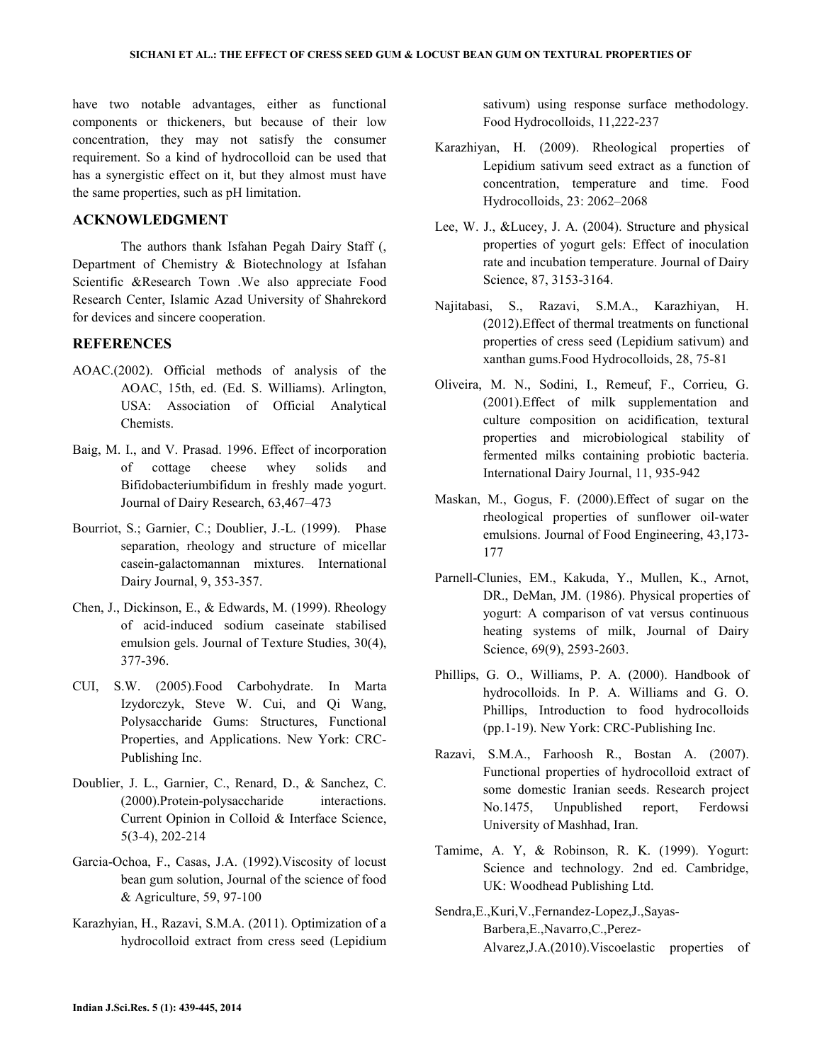have two notable advantages, either as functional components or thickeners, but because of their low concentration, they may not satisfy the consumer requirement. So a kind of hydrocolloid can be used that has a synergistic effect on it, but they almost must have the same properties, such as pH limitation.

### ACKNOWLEDGMENT

 The authors thank Isfahan Pegah Dairy Staff (, Department of Chemistry & Biotechnology at Isfahan Scientific &Research Town .We also appreciate Food Research Center, Islamic Azad University of Shahrekord for devices and sincere cooperation.

#### **REFERENCES**

- AOAC.(2002). Official methods of analysis of the AOAC, 15th, ed. (Ed. S. Williams). Arlington, USA: Association of Official Analytical Chemists.
- Baig, M. I., and V. Prasad. 1996. Effect of incorporation of cottage cheese whey solids and Bifidobacteriumbifidum in freshly made yogurt. Journal of Dairy Research, 63,467–473
- Bourriot, S.; Garnier, C.; Doublier, J.-L. (1999). Phase separation, rheology and structure of micellar casein-galactomannan mixtures. International Dairy Journal, 9, 353-357.
- Chen, J., Dickinson, E., & Edwards, M. (1999). Rheology of acid-induced sodium caseinate stabilised emulsion gels. Journal of Texture Studies, 30(4), 377-396.
- CUI, S.W. (2005).Food Carbohydrate. In Marta Izydorczyk, Steve W. Cui, and Qi Wang, Polysaccharide Gums: Structures, Functional Properties, and Applications. New York: CRC-Publishing Inc.
- Doublier, J. L., Garnier, C., Renard, D., & Sanchez, C. (2000).Protein-polysaccharide interactions. Current Opinion in Colloid & Interface Science, 5(3-4), 202-214
- Garcia-Ochoa, F., Casas, J.A. (1992).Viscosity of locust bean gum solution, Journal of the science of food & Agriculture, 59, 97-100
- Karazhyian, H., Razavi, S.M.A. (2011). Optimization of a hydrocolloid extract from cress seed (Lepidium

sativum) using response surface methodology. Food Hydrocolloids, 11,222-237

- Karazhiyan, H. (2009). Rheological properties of Lepidium sativum seed extract as a function of concentration, temperature and time. Food Hydrocolloids, 23: 2062–2068
- Lee, W. J., &Lucey, J. A. (2004). Structure and physical properties of yogurt gels: Effect of inoculation rate and incubation temperature. Journal of Dairy Science, 87, 3153-3164.
- Najitabasi, S., Razavi, S.M.A., Karazhiyan, H. (2012).Effect of thermal treatments on functional properties of cress seed (Lepidium sativum) and xanthan gums.Food Hydrocolloids, 28, 75-81
- Oliveira, M. N., Sodini, I., Remeuf, F., Corrieu, G. (2001).Effect of milk supplementation and culture composition on acidification, textural properties and microbiological stability of fermented milks containing probiotic bacteria. International Dairy Journal, 11, 935-942
- Maskan, M., Gogus, F. (2000).Effect of sugar on the rheological properties of sunflower oil-water emulsions. Journal of Food Engineering, 43,173- 177
- Parnell-Clunies, EM., Kakuda, Y., Mullen, K., Arnot, DR., DeMan, JM. (1986). Physical properties of yogurt: A comparison of vat versus continuous heating systems of milk, Journal of Dairy Science, 69(9), 2593-2603.
- Phillips, G. O., Williams, P. A. (2000). Handbook of hydrocolloids. In P. A. Williams and G. O. Phillips, Introduction to food hydrocolloids (pp.1-19). New York: CRC-Publishing Inc.
- Razavi, S.M.A., Farhoosh R., Bostan A. (2007). Functional properties of hydrocolloid extract of some domestic Iranian seeds. Research project No.1475, Unpublished report, Ferdowsi University of Mashhad, Iran.
- Tamime, A. Y, & Robinson, R. K. (1999). Yogurt: Science and technology. 2nd ed. Cambridge, UK: Woodhead Publishing Ltd.
- Sendra,E.,Kuri,V.,Fernandez-Lopez,J.,Sayas-Barbera,E.,Navarro,C.,Perez-Alvarez,J.A.(2010).Viscoelastic properties of